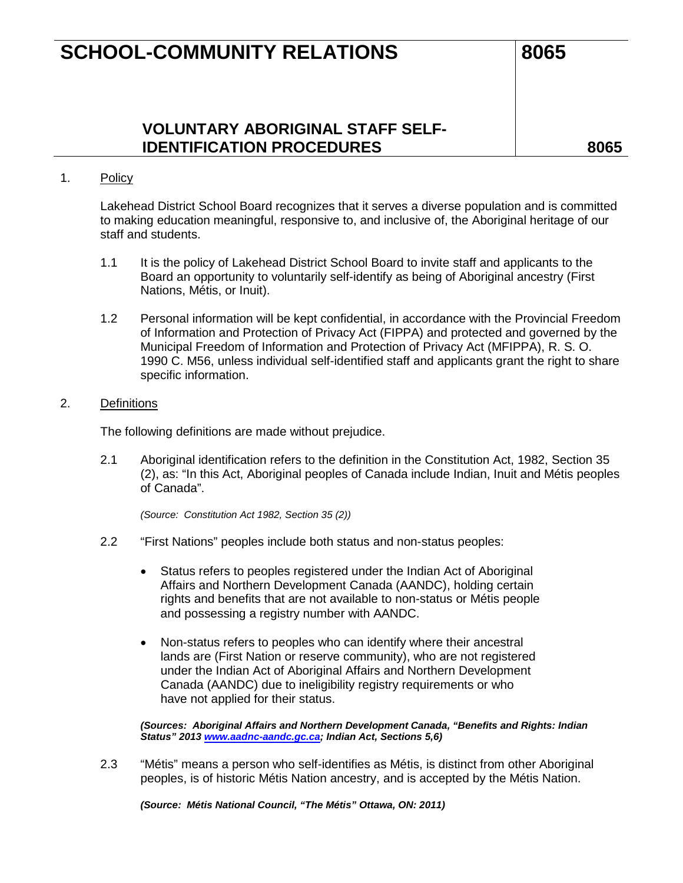## **SCHOOL-COMMUNITY RELATIONS 8065**

**VOLUNTARY ABORIGINAL STAFF SELF-IDENTIFICATION PROCEDURES 8065**

### 1. Policy

Lakehead District School Board recognizes that it serves a diverse population and is committed to making education meaningful, responsive to, and inclusive of, the Aboriginal heritage of our staff and students.

- 1.1 It is the policy of Lakehead District School Board to invite staff and applicants to the Board an opportunity to voluntarily self-identify as being of Aboriginal ancestry (First Nations, Métis, or Inuit).
- 1.2 Personal information will be kept confidential, in accordance with the Provincial Freedom of Information and Protection of Privacy Act (FIPPA) and protected and governed by the Municipal Freedom of Information and Protection of Privacy Act (MFIPPA), R. S. O. 1990 C. M56, unless individual self-identified staff and applicants grant the right to share specific information.

### 2. Definitions

The following definitions are made without prejudice.

2.1 Aboriginal identification refers to the definition in the Constitution Act, 1982, Section 35 (2), as: "In this Act, Aboriginal peoples of Canada include Indian, Inuit and Métis peoples of Canada".

*(Source: Constitution Act 1982, Section 35 (2))*

- 2.2 "First Nations" peoples include both status and non-status peoples:
	- Status refers to peoples registered under the Indian Act of Aboriginal Affairs and Northern Development Canada (AANDC), holding certain rights and benefits that are not available to non-status or Métis people and possessing a registry number with AANDC.
	- Non-status refers to peoples who can identify where their ancestral lands are (First Nation or reserve community), who are not registered under the Indian Act of Aboriginal Affairs and Northern Development Canada (AANDC) due to ineligibility registry requirements or who have not applied for their status.

*(Sources: Aboriginal Affairs and Northern Development Canada, "Benefits and Rights: Indian Status" 2013 [www.aadnc-aandc.gc.ca;](http://www.aadnc-aandc.gc.ca/) Indian Act, Sections 5,6)*

2.3 "Métis" means a person who self-identifies as Métis, is distinct from other Aboriginal peoples, is of historic Métis Nation ancestry, and is accepted by the Métis Nation.

*(Source: Métis National Council, "The Métis" Ottawa, ON: 2011)*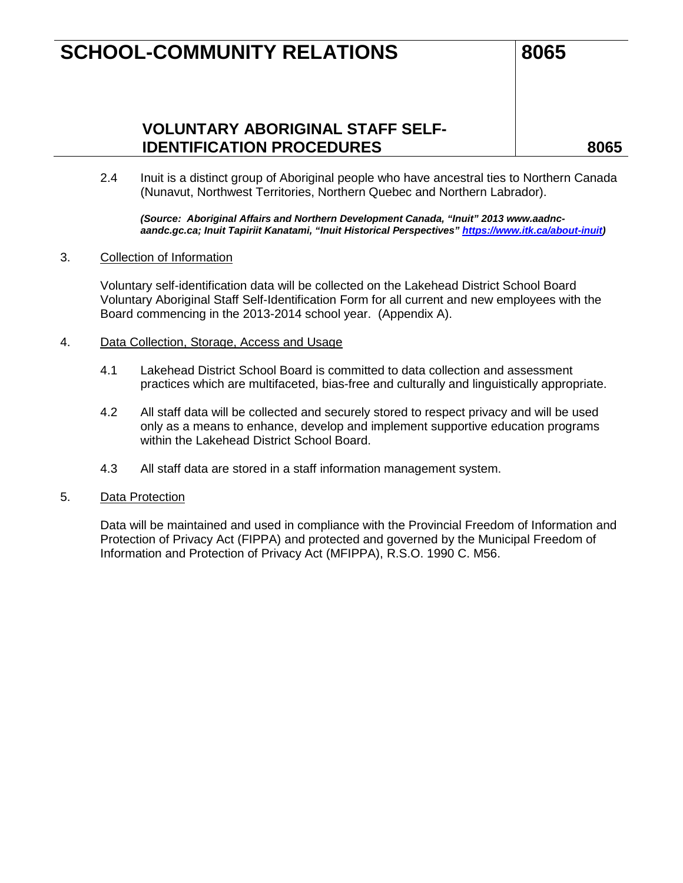## **SCHOOL-COMMUNITY RELATIONS 8065**

## **VOLUNTARY ABORIGINAL STAFF SELF-IDENTIFICATION PROCEDURES 8065**

2.4 Inuit is a distinct group of Aboriginal people who have ancestral ties to Northern Canada (Nunavut, Northwest Territories, Northern Quebec and Northern Labrador).

*(Source: Aboriginal Affairs and Northern Development Canada, "Inuit" 2013 www.aadncaandc.gc.ca; Inuit Tapiriit Kanatami, "Inuit Historical Perspectives[" https://www.itk.ca/about-inuit\)](https://www.itk.ca/about-inuit)*

3. Collection of Information

Voluntary self-identification data will be collected on the Lakehead District School Board Voluntary Aboriginal Staff Self-Identification Form for all current and new employees with the Board commencing in the 2013-2014 school year. (Appendix A).

- 4. Data Collection, Storage, Access and Usage
	- 4.1 Lakehead District School Board is committed to data collection and assessment practices which are multifaceted, bias-free and culturally and linguistically appropriate.
	- 4.2 All staff data will be collected and securely stored to respect privacy and will be used only as a means to enhance, develop and implement supportive education programs within the Lakehead District School Board.
	- 4.3 All staff data are stored in a staff information management system.
- 5. Data Protection

Data will be maintained and used in compliance with the Provincial Freedom of Information and Protection of Privacy Act (FIPPA) and protected and governed by the Municipal Freedom of Information and Protection of Privacy Act (MFIPPA), R.S.O. 1990 C. M56.